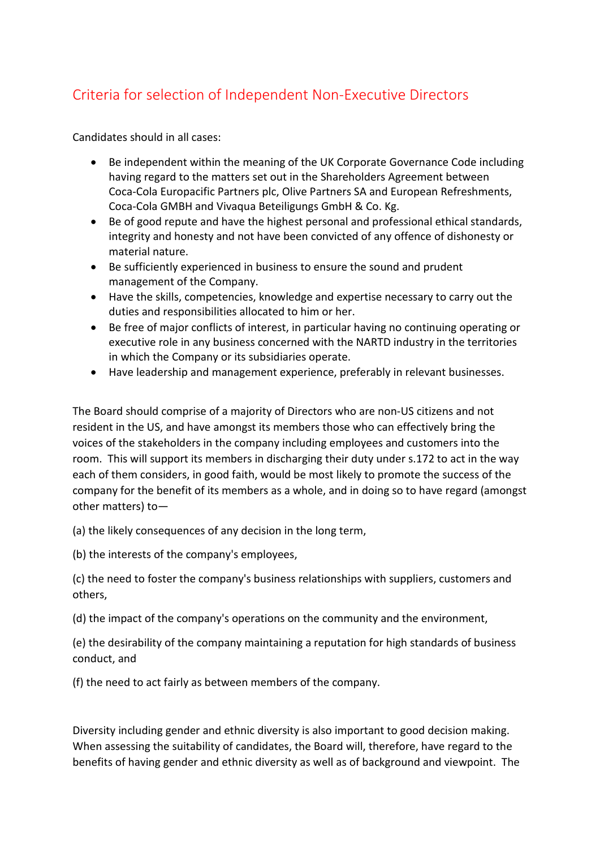## Criteria for selection of Independent Non-Executive Directors

Candidates should in all cases:

- Be independent within the meaning of the UK Corporate Governance Code including having regard to the matters set out in the Shareholders Agreement between Coca-Cola Europacific Partners plc, Olive Partners SA and European Refreshments, Coca-Cola GMBH and Vivaqua Beteiligungs GmbH & Co. Kg.
- Be of good repute and have the highest personal and professional ethical standards, integrity and honesty and not have been convicted of any offence of dishonesty or material nature.
- Be sufficiently experienced in business to ensure the sound and prudent management of the Company.
- Have the skills, competencies, knowledge and expertise necessary to carry out the duties and responsibilities allocated to him or her.
- Be free of major conflicts of interest, in particular having no continuing operating or executive role in any business concerned with the NARTD industry in the territories in which the Company or its subsidiaries operate.
- Have leadership and management experience, preferably in relevant businesses.

The Board should comprise of a majority of Directors who are non-US citizens and not resident in the US, and have amongst its members those who can effectively bring the voices of the stakeholders in the company including employees and customers into the room. This will support its members in discharging their duty under s.172 to act in the way each of them considers, in good faith, would be most likely to promote the success of the company for the benefit of its members as a whole, and in doing so to have regard (amongst other matters) to—

(a) the likely consequences of any decision in the long term,

(b) the interests of the company's employees,

(c) the need to foster the company's business relationships with suppliers, customers and others,

(d) the impact of the company's operations on the community and the environment,

(e) the desirability of the company maintaining a reputation for high standards of business conduct, and

(f) the need to act fairly as between members of the company.

Diversity including gender and ethnic diversity is also important to good decision making. When assessing the suitability of candidates, the Board will, therefore, have regard to the benefits of having gender and ethnic diversity as well as of background and viewpoint. The